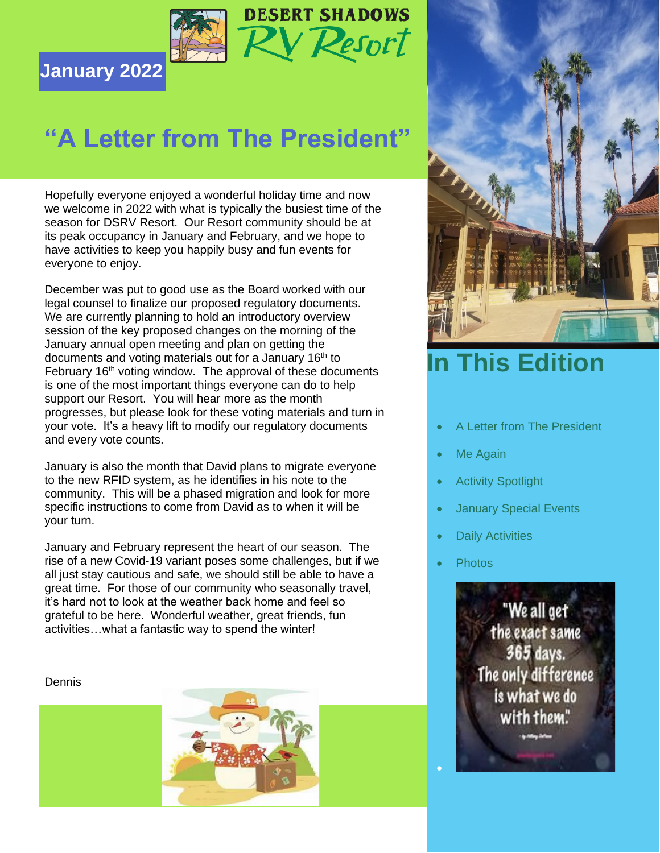

### **January 2022**

## **"A Letter from The President"**

Hopefully everyone enjoyed a wonderful holiday time and now we welcome in 2022 with what is typically the busiest time of the season for DSRV Resort. Our Resort community should be at its peak occupancy in January and February, and we hope to have activities to keep you happily busy and fun events for everyone to enjoy.

December was put to good use as the Board worked with our legal counsel to finalize our proposed regulatory documents. We are currently planning to hold an introductory overview session of the key proposed changes on the morning of the January annual open meeting and plan on getting the documents and voting materials out for a January 16<sup>th</sup> to February  $16<sup>th</sup>$  voting window. The approval of these documents is one of the most important things everyone can do to help support our Resort. You will hear more as the month progresses, but please look for these voting materials and turn in your vote. It's a heavy lift to modify our regulatory documents and every vote counts.

January is also the month that David plans to migrate everyone to the new RFID system, as he identifies in his note to the community. This will be a phased migration and look for more specific instructions to come from David as to when it will be your turn.

January and February represent the heart of our season. The rise of a new Covid-19 variant poses some challenges, but if we all just stay cautious and safe, we should still be able to have a great time. For those of our community who seasonally travel, it's hard not to look at the weather back home and feel so grateful to be here. Wonderful weather, great friends, fun activities…what a fantastic way to spend the winter!

Dennis





### **This Edition**

- A Letter from The President
- Me Again
- **Activity Spotlight**
- **January Special Events**
- **Daily Activities**
- Photos

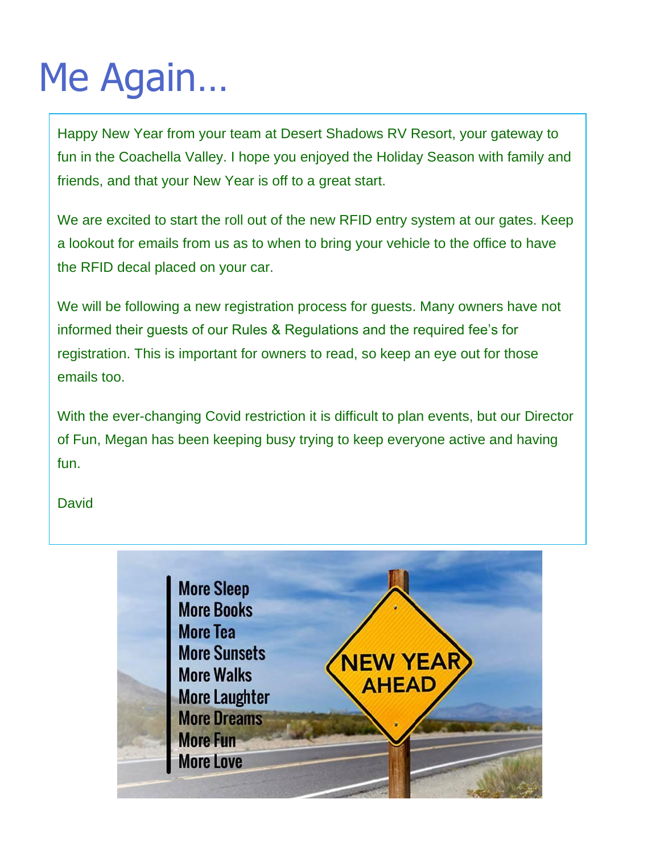# Me Again…

Happy New Year from your team at Desert Shadows RV Resort, your gateway to fun in the Coachella Valley. I hope you enjoyed the Holiday Season with family and friends, and that your New Year is off to a great start.

We are excited to start the roll out of the new RFID entry system at our gates. Keep a lookout for emails from us as to when to bring your vehicle to the office to have the RFID decal placed on your car.

We will be following a new registration process for guests. Many owners have not informed their guests of our Rules & Regulations and the required fee's for registration. This is important for owners to read, so keep an eye out for those emails too.

With the ever-changing Covid restriction it is difficult to plan events, but our Director of Fun, Megan has been keeping busy trying to keep everyone active and having fun.

#### **David**

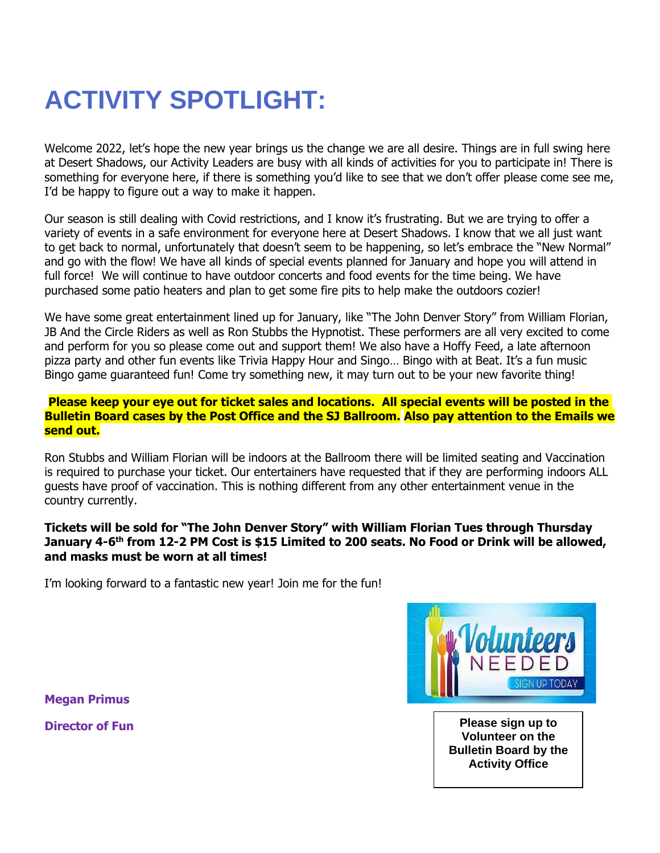## **ACTIVITY SPOTLIGHT:**

Welcome 2022, let's hope the new year brings us the change we are all desire. Things are in full swing here at Desert Shadows, our Activity Leaders are busy with all kinds of activities for you to participate in! There is something for everyone here, if there is something you'd like to see that we don't offer please come see me, I'd be happy to figure out a way to make it happen.

Our season is still dealing with Covid restrictions, and I know it's frustrating. But we are trying to offer a variety of events in a safe environment for everyone here at Desert Shadows. I know that we all just want to get back to normal, unfortunately that doesn't seem to be happening, so let's embrace the "New Normal" and go with the flow! We have all kinds of special events planned for January and hope you will attend in full force! We will continue to have outdoor concerts and food events for the time being. We have purchased some patio heaters and plan to get some fire pits to help make the outdoors cozier!

We have some great entertainment lined up for January, like "The John Denver Story" from William Florian, JB And the Circle Riders as well as Ron Stubbs the Hypnotist. These performers are all very excited to come and perform for you so please come out and support them! We also have a Hoffy Feed, a late afternoon pizza party and other fun events like Trivia Happy Hour and Singo… Bingo with at Beat. It's a fun music Bingo game guaranteed fun! Come try something new, it may turn out to be your new favorite thing!

#### **Please keep your eye out for ticket sales and locations. All special events will be posted in the Bulletin Board cases by the Post Office and the SJ Ballroom. Also pay attention to the Emails we send out.**

Ron Stubbs and William Florian will be indoors at the Ballroom there will be limited seating and Vaccination is required to purchase your ticket. Our entertainers have requested that if they are performing indoors ALL guests have proof of vaccination. This is nothing different from any other entertainment venue in the country currently.

#### **Tickets will be sold for "The John Denver Story" with William Florian Tues through Thursday**  January 4-6<sup>th</sup> from 12-2 PM Cost is \$15 Limited to 200 seats. No Food or Drink will be allowed, **and masks must be worn at all times!**

I'm looking forward to a fantastic new year! Join me for the fun!



**Director of Fun Please sign up to Please sign up to Volunteer on the Bulletin Board by the Activity Office**

**Megan Primus**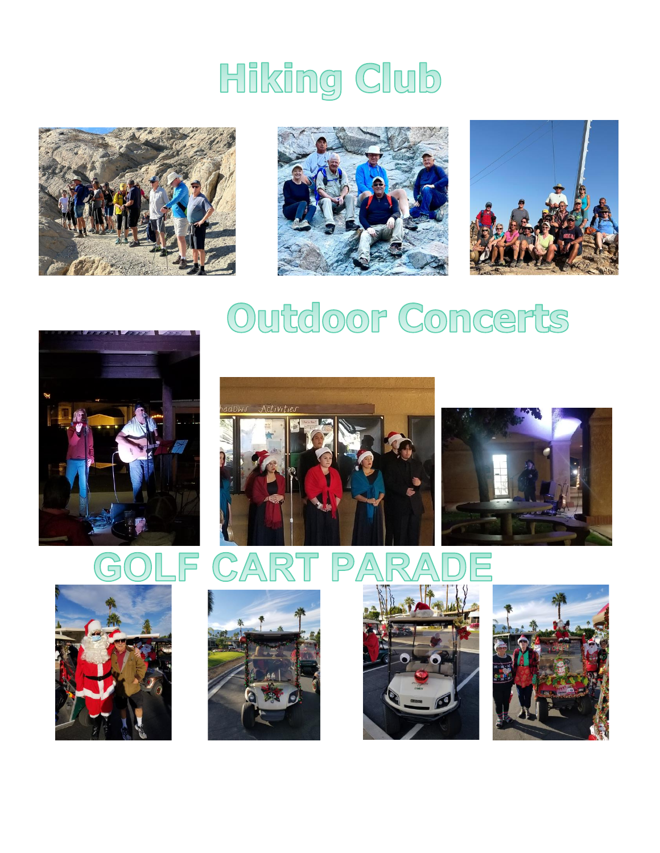# Hiking Club







## Outdoor Concerts











 $\overline{\nabla}$ 

 $\sum$ 



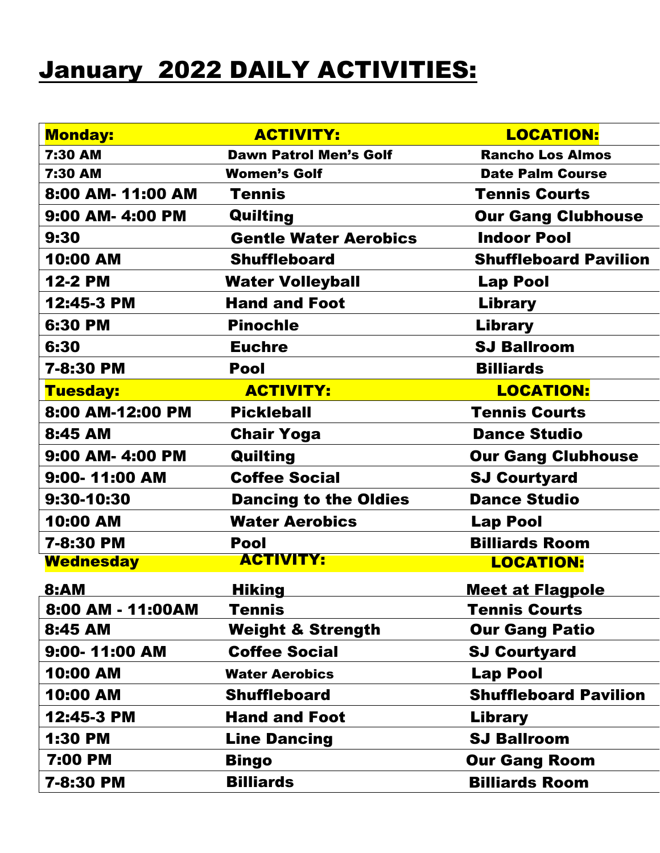### January 2022 DAILY ACTIVITIES:

| <b>Monday:</b>    | <b>ACTIVITY:</b>                      | <b>LOCATION:</b>             |  |  |
|-------------------|---------------------------------------|------------------------------|--|--|
| 7:30 AM           | <b>Dawn Patrol Men's Golf</b>         | <b>Rancho Los Almos</b>      |  |  |
| 7:30 AM           | <b>Women's Golf</b>                   | <b>Date Palm Course</b>      |  |  |
| 8:00 AM- 11:00 AM | <b>Tennis Courts</b><br><b>Tennis</b> |                              |  |  |
| 9:00 AM- 4:00 PM  | Quilting<br><b>Our Gang Clubhouse</b> |                              |  |  |
| 9:30              | <b>Gentle Water Aerobics</b>          | <b>Indoor Pool</b>           |  |  |
| 10:00 AM          | <b>Shuffleboard</b>                   | <b>Shuffleboard Pavilion</b> |  |  |
| <b>12-2 PM</b>    | <b>Water Volleyball</b>               | <b>Lap Pool</b>              |  |  |
| 12:45-3 PM        | <b>Hand and Foot</b>                  | Library                      |  |  |
| 6:30 PM           | <b>Pinochle</b>                       | Library                      |  |  |
| 6:30              | <b>Euchre</b>                         | <b>SJ Ballroom</b>           |  |  |
| 7-8:30 PM         | <b>Pool</b>                           | <b>Billiards</b>             |  |  |
| Tuesday:          | <b>ACTIVITY:</b>                      | <b>LOCATION:</b>             |  |  |
| 8:00 AM-12:00 PM  | <b>Pickleball</b>                     | <b>Tennis Courts</b>         |  |  |
| 8:45 AM           | <b>Chair Yoga</b>                     | <b>Dance Studio</b>          |  |  |
| 9:00 AM- 4:00 PM  | Quilting                              | <b>Our Gang Clubhouse</b>    |  |  |
| 9:00-11:00 AM     | <b>Coffee Social</b>                  | <b>SJ Courtyard</b>          |  |  |
| 9:30-10:30        | <b>Dancing to the Oldies</b>          | <b>Dance Studio</b>          |  |  |
| <b>10:00 AM</b>   | <b>Water Aerobics</b>                 | <b>Lap Pool</b>              |  |  |
| 7-8:30 PM         | <b>Pool</b>                           | <b>Billiards Room</b>        |  |  |
| <b>Wednesday</b>  | <b>ACTIVITY:</b>                      | <b>LOCATION:</b>             |  |  |
| <b>8:AM</b>       | <u>Hiking</u>                         | <u>Meet at Flagpole</u>      |  |  |
| 8:00 AM - 11:00AM | <b>Tennis</b>                         | <b>Tennis Courts</b>         |  |  |
| 8:45 AM           | <b>Weight &amp; Strength</b>          | <b>Our Gang Patio</b>        |  |  |
| 9:00-11:00 AM     | <b>Coffee Social</b>                  | <b>SJ Courtyard</b>          |  |  |
| <b>10:00 AM</b>   | <b>Water Aerobics</b>                 | <b>Lap Pool</b>              |  |  |
| 10:00 AM          | <b>Shuffleboard</b>                   | <b>Shuffleboard Pavilion</b> |  |  |
| 12:45-3 PM        | <b>Hand and Foot</b>                  | Library                      |  |  |
| <b>1:30 PM</b>    | <b>Line Dancing</b>                   | <b>SJ Ballroom</b>           |  |  |
| 7:00 PM           | Bingo                                 | <b>Our Gang Room</b>         |  |  |
| 7-8:30 PM         | <b>Billiards</b>                      | <b>Billiards Room</b>        |  |  |
|                   |                                       |                              |  |  |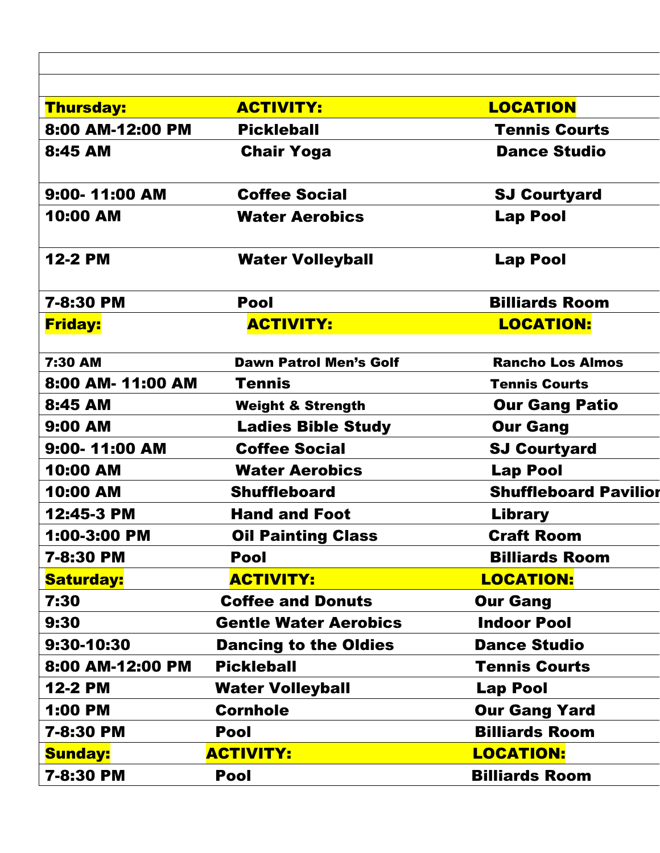| <b>Thursday:</b>  | <b>ACTIVITY:</b>              | <b>LOCATION</b>              |
|-------------------|-------------------------------|------------------------------|
| 8:00 AM-12:00 PM  | <b>Pickleball</b>             | <b>Tennis Courts</b>         |
| 8:45 AM           | <b>Chair Yoga</b>             | <b>Dance Studio</b>          |
| 9:00-11:00 AM     | <b>Coffee Social</b>          | <b>SJ Courtyard</b>          |
| 10:00 AM          | <b>Water Aerobics</b>         | <b>Lap Pool</b>              |
| <b>12-2 PM</b>    | <b>Water Volleyball</b>       | <b>Lap Pool</b>              |
| 7-8:30 PM         | <b>Pool</b>                   | <b>Billiards Room</b>        |
| <b>Friday:</b>    | <b>ACTIVITY:</b>              | <b>LOCATION:</b>             |
| 7:30 AM           | <b>Dawn Patrol Men's Golf</b> | <b>Rancho Los Almos</b>      |
| 8:00 AM- 11:00 AM | Tennis                        | <b>Tennis Courts</b>         |
| 8:45 AM           | <b>Weight &amp; Strength</b>  | <b>Our Gang Patio</b>        |
| 9:00 AM           | <b>Ladies Bible Study</b>     | <b>Our Gang</b>              |
| 9:00-11:00 AM     | <b>Coffee Social</b>          | <b>SJ Courtyard</b>          |
| 10:00 AM          | <b>Water Aerobics</b>         | <b>Lap Pool</b>              |
| 10:00 AM          | <b>Shuffleboard</b>           | <b>Shuffleboard Pavilion</b> |
| 12:45-3 PM        | <b>Hand and Foot</b>          | <b>Library</b>               |
| 1:00-3:00 PM      | <b>Oil Painting Class</b>     | <b>Craft Room</b>            |
| 7-8:30 PM         | Pool                          | <b>Billiards Room</b>        |
| <b>Saturday:</b>  | <b>ACTIVITY:</b>              | <b>LOCATION:</b>             |
| 7:30              | <b>Coffee and Donuts</b>      | <b>Our Gang</b>              |
| 9:30              | <b>Gentle Water Aerobics</b>  | <b>Indoor Pool</b>           |
| 9:30-10:30        | <b>Dancing to the Oldies</b>  | <b>Dance Studio</b>          |
| 8:00 AM-12:00 PM  | <b>Pickleball</b>             | <b>Tennis Courts</b>         |
| <b>12-2 PM</b>    | <b>Water Volleyball</b>       | <b>Lap Pool</b>              |
| 1:00 PM           | <b>Cornhole</b>               | <b>Our Gang Yard</b>         |
| 7-8:30 PM         | <b>Pool</b>                   | <b>Billiards Room</b>        |
| <b>Sunday:</b>    | <b>ACTIVITY:</b>              | <b>LOCATION:</b>             |
| 7-8:30 PM         | <b>Pool</b>                   | <b>Billiards Room</b>        |